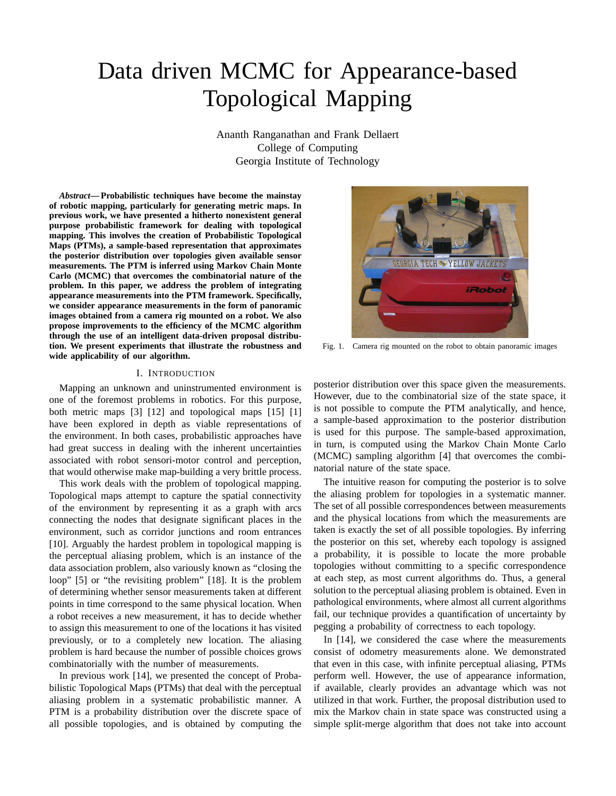# Data driven MCMC for Appearance-based Topological Mapping

Ananth Ranganathan and Frank Dellaert College of Computing Georgia Institute of Technology

*Abstract***—Probabilistic techniques have become the mainstay of robotic mapping, particularly for generating metric maps. In previous work, we have presented a hitherto nonexistent general purpose probabilistic framework for dealing with topological mapping. This involves the creation of Probabilistic Topological Maps (PTMs), a sample-based representation that approximates the posterior distribution over topologies given available sensor measurements***.* **The PTM is inferred using Markov Chain Monte Carlo (MCMC) that overcomes the combinatorial nature of the problem. In this paper, we address the problem of integrating appearance measurements into the PTM framework. Specifically, we consider appearance measurements in the form of panoramic images obtained from a camera rig mounted on a robot. We also propose improvements to the efficiency of the MCMC algorithm through the use of an intelligent data-driven proposal distribution. We present experiments that illustrate the robustness and wide applicability of our algorithm.**

#### I. INTRODUCTION

Mapping an unknown and uninstrumented environment is one of the foremost problems in robotics. For this purpose, both metric maps [3] [12] and topological maps [15] [1] have been explored in depth as viable representations of the environment. In both cases, probabilistic approaches have had great success in dealing with the inherent uncertainties associated with robot sensori-motor control and perception, that would otherwise make map-building a very brittle process.

This work deals with the problem of topological mapping. Topological maps attempt to capture the spatial connectivity of the environment by representing it as a graph with arcs connecting the nodes that designate significant places in the environment, such as corridor junctions and room entrances [10]. Arguably the hardest problem in topological mapping is the perceptual aliasing problem, which is an instance of the data association problem, also variously known as "closing the loop" [5] or "the revisiting problem" [18]. It is the problem of determining whether sensor measurements taken at different points in time correspond to the same physical location. When a robot receives a new measurement, it has to decide whether to assign this measurement to one of the locations it has visited previously, or to a completely new location. The aliasing problem is hard because the number of possible choices grows combinatorially with the number of measurements.

In previous work [14], we presented the concept of Probabilistic Topological Maps (PTMs) that deal with the perceptual aliasing problem in a systematic probabilistic manner. A PTM is a probability distribution over the discrete space of all possible topologies, and is obtained by computing the



Fig. 1. Camera rig mounted on the robot to obtain panoramic images

posterior distribution over this space given the measurements. However, due to the combinatorial size of the state space, it is not possible to compute the PTM analytically, and hence, a sample-based approximation to the posterior distribution is used for this purpose. The sample-based approximation, in turn, is computed using the Markov Chain Monte Carlo (MCMC) sampling algorithm [4] that overcomes the combinatorial nature of the state space.

The intuitive reason for computing the posterior is to solve the aliasing problem for topologies in a systematic manner. The set of all possible correspondences between measurements and the physical locations from which the measurements are taken is exactly the set of all possible topologies. By inferring the posterior on this set, whereby each topology is assigned a probability, it is possible to locate the more probable topologies without committing to a specific correspondence at each step, as most current algorithms do. Thus, a general solution to the perceptual aliasing problem is obtained. Even in pathological environments, where almost all current algorithms fail, our technique provides a quantification of uncertainty by pegging a probability of correctness to each topology.

In [14], we considered the case where the measurements consist of odometry measurements alone. We demonstrated that even in this case, with infinite perceptual aliasing, PTMs perform well. However, the use of appearance information, if available, clearly provides an advantage which was not utilized in that work. Further, the proposal distribution used to mix the Markov chain in state space was constructed using a simple split-merge algorithm that does not take into account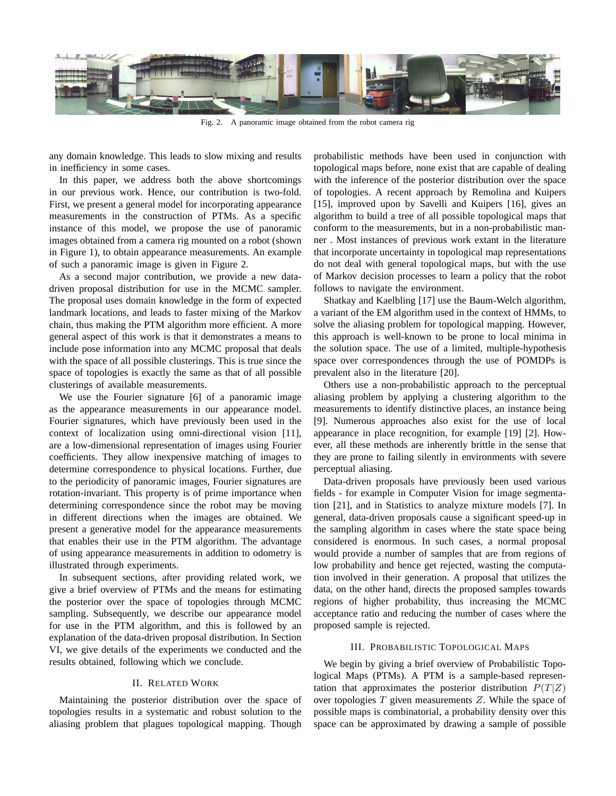

Fig. 2. A panoramic image obtained from the robot camera rig

any domain knowledge. This leads to slow mixing and results in inefficiency in some cases.

In this paper, we address both the above shortcomings in our previous work. Hence, our contribution is two-fold. First, we present a general model for incorporating appearance measurements in the construction of PTMs. As a specific instance of this model, we propose the use of panoramic images obtained from a camera rig mounted on a robot (shown in Figure 1), to obtain appearance measurements. An example of such a panoramic image is given in Figure 2.

As a second major contribution, we provide a new datadriven proposal distribution for use in the MCMC sampler. The proposal uses domain knowledge in the form of expected landmark locations, and leads to faster mixing of the Markov chain, thus making the PTM algorithm more efficient. A more general aspect of this work is that it demonstrates a means to include pose information into any MCMC proposal that deals with the space of all possible clusterings. This is true since the space of topologies is exactly the same as that of all possible clusterings of available measurements.

We use the Fourier signature [6] of a panoramic image as the appearance measurements in our appearance model. Fourier signatures, which have previously been used in the context of localization using omni-directional vision [11], are a low-dimensional representation of images using Fourier coefficients. They allow inexpensive matching of images to determine correspondence to physical locations. Further, due to the periodicity of panoramic images, Fourier signatures are rotation-invariant. This property is of prime importance when determining correspondence since the robot may be moving in different directions when the images are obtained. We present a generative model for the appearance measurements that enables their use in the PTM algorithm. The advantage of using appearance measurements in addition to odometry is illustrated through experiments.

In subsequent sections, after providing related work, we give a brief overview of PTMs and the means for estimating the posterior over the space of topologies through MCMC sampling. Subsequently, we describe our appearance model for use in the PTM algorithm, and this is followed by an explanation of the data-driven proposal distribution. In Section VI, we give details of the experiments we conducted and the results obtained, following which we conclude.

## II. RELATED WORK

Maintaining the posterior distribution over the space of topologies results in a systematic and robust solution to the aliasing problem that plagues topological mapping. Though probabilistic methods have been used in conjunction with topological maps before, none exist that are capable of dealing with the inference of the posterior distribution over the space of topologies. A recent approach by Remolina and Kuipers [15], improved upon by Savelli and Kuipers [16], gives an algorithm to build a tree of all possible topological maps that conform to the measurements, but in a non-probabilistic manner . Most instances of previous work extant in the literature that incorporate uncertainty in topological map representations do not deal with general topological maps, but with the use of Markov decision processes to learn a policy that the robot follows to navigate the environment.

Shatkay and Kaelbling [17] use the Baum-Welch algorithm, a variant of the EM algorithm used in the context of HMMs, to solve the aliasing problem for topological mapping. However, this approach is well-known to be prone to local minima in the solution space. The use of a limited, multiple-hypothesis space over correspondences through the use of POMDPs is prevalent also in the literature [20].

Others use a non-probabilistic approach to the perceptual aliasing problem by applying a clustering algorithm to the measurements to identify distinctive places, an instance being [9]. Numerous approaches also exist for the use of local appearance in place recognition, for example [19] [2]. However, all these methods are inherently brittle in the sense that they are prone to failing silently in environments with severe perceptual aliasing.

Data-driven proposals have previously been used various fields - for example in Computer Vision for image segmentation [21], and in Statistics to analyze mixture models [7]. In general, data-driven proposals cause a significant speed-up in the sampling algorithm in cases where the state space being considered is enormous. In such cases, a normal proposal would provide a number of samples that are from regions of low probability and hence get rejected, wasting the computation involved in their generation. A proposal that utilizes the data, on the other hand, directs the proposed samples towards regions of higher probability, thus increasing the MCMC acceptance ratio and reducing the number of cases where the proposed sample is rejected.

## III. PROBABILISTIC TOPOLOGICAL MAPS

We begin by giving a brief overview of Probabilistic Topological Maps (PTMs)*.* A PTM is a sample-based representation that approximates the posterior distribution  $P(T|Z)$ over topologies T given measurements Z*.* While the space of possible maps is combinatorial, a probability density over this space can be approximated by drawing a sample of possible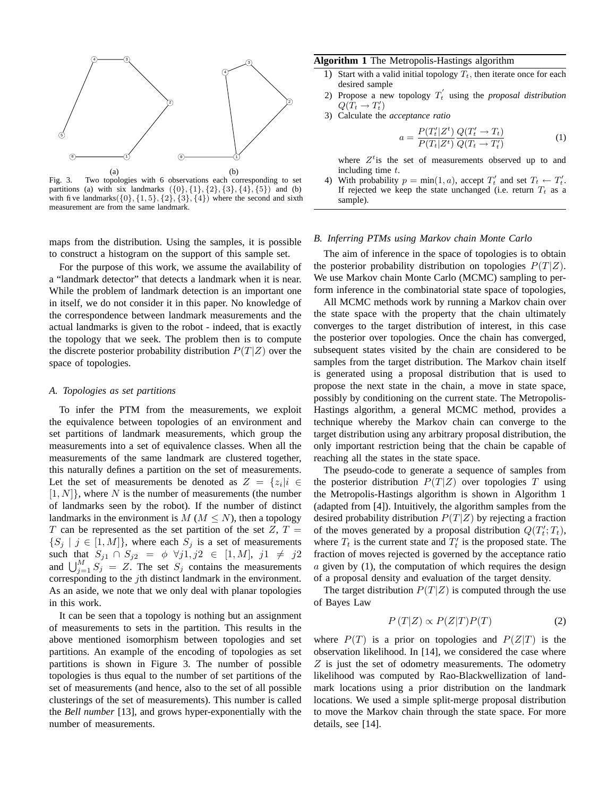

Fig. 3. Two topologies with 6 observations each corresponding to set partitions (a) with six landmarks  $({0}, {1}, {2}, {3}, {4}, {5})$  and (b) with five landmarks( $\{0\}, \{1, 5\}, \{2\}, \{3\}, \{4\}$ ) where the second and sixth measurement are from the same landmark.

maps from the distribution. Using the samples, it is possible to construct a histogram on the support of this sample set.

For the purpose of this work, we assume the availability of a "landmark detector" that detects a landmark when it is near. While the problem of landmark detection is an important one in itself, we do not consider it in this paper. No knowledge of the correspondence between landmark measurements and the actual landmarks is given to the robot - indeed, that is exactly the topology that we seek. The problem then is to compute the discrete posterior probability distribution  $P(T|Z)$  over the space of topologies.

### *A. Topologies as set partitions*

To infer the PTM from the measurements, we exploit the equivalence between topologies of an environment and set partitions of landmark measurements, which group the measurements into a set of equivalence classes. When all the measurements of the same landmark are clustered together, this naturally defines a partition on the set of measurements. Let the set of measurements be denoted as  $Z = \{z_i | i \in$  $[1, N]$ , where N is the number of measurements (the number of landmarks seen by the robot). If the number of distinct landmarks in the environment is  $M$  ( $M \leq N$ ), then a topology T can be represented as the set partition of the set  $Z, T =$  $\{S_i | j \in [1, M]\},$  where each  $S_i$  is a set of measurements such that  $S_{j1} \cap S_{j2} = \phi \ \forall j1, j2 \in [1, M], j1 \neq j2$ and  $\bigcup_{j=1}^{M} S_j = Z$ . The set  $S_j$  contains the measurements corresponding to the jth distinct landmark in the environment. As an aside, we note that we only deal with planar topologies in this work.

It can be seen that a topology is nothing but an assignment of measurements to sets in the partition. This results in the above mentioned isomorphism between topologies and set partitions. An example of the encoding of topologies as set partitions is shown in Figure 3. The number of possible topologies is thus equal to the number of set partitions of the set of measurements (and hence, also to the set of all possible clusterings of the set of measurements). This number is called the *Bell number* [13], and grows hyper-exponentially with the number of measurements.

## **Algorithm 1** The Metropolis-Hastings algorithm

- 1) Start with a valid initial topology  $T_t$ , then iterate once for each desired sample
- 2) Propose a new topology  $T_t'$  using the *proposal distribution*  $Q(T_t \rightarrow T'_t)$
- 3) Calculate the *acceptance ratio*

$$
a = \frac{P(T'_t|Z^t)}{P(T_t|Z^t)} \frac{Q(T'_t \to T_t)}{Q(T_t \to T'_t)}
$$
(1)

where  $Z^t$  is the set of measurements observed up to and including time t.

4) With probability  $p = \min(1, a)$ , accept  $T'_t$  and set  $T_t \leftarrow T'_t$ . If rejected we keep the state unchanged (i.e. return  $T_t$  as a sample).

## *B. Inferring PTMs using Markov chain Monte Carlo*

The aim of inference in the space of topologies is to obtain the posterior probability distribution on topologies  $P(T|Z)$ . We use Markov chain Monte Carlo (MCMC) sampling to perform inference in the combinatorial state space of topologies,

All MCMC methods work by running a Markov chain over the state space with the property that the chain ultimately converges to the target distribution of interest, in this case the posterior over topologies. Once the chain has converged, subsequent states visited by the chain are considered to be samples from the target distribution. The Markov chain itself is generated using a proposal distribution that is used to propose the next state in the chain, a move in state space, possibly by conditioning on the current state. The Metropolis-Hastings algorithm, a general MCMC method, provides a technique whereby the Markov chain can converge to the target distribution using any arbitrary proposal distribution, the only important restriction being that the chain be capable of reaching all the states in the state space.

The pseudo-code to generate a sequence of samples from the posterior distribution  $P(T|Z)$  over topologies T using the Metropolis-Hastings algorithm is shown in Algorithm 1 (adapted from [4]). Intuitively, the algorithm samples from the desired probability distribution  $P(T|Z)$  by rejecting a fraction of the moves generated by a proposal distribution  $Q(T'_t; T_t)$ , where  $T_t$  is the current state and  $T'_t$  is the proposed state. The fraction of moves rejected is governed by the acceptance ratio  $a$  given by (1), the computation of which requires the design of a proposal density and evaluation of the target density.

The target distribution  $P(T|Z)$  is computed through the use of Bayes Law

$$
P(T|Z) \propto P(Z|T)P(T) \tag{2}
$$

where  $P(T)$  is a prior on topologies and  $P(Z|T)$  is the observation likelihood. In [14], we considered the case where Z is just the set of odometry measurements. The odometry likelihood was computed by Rao-Blackwellization of landmark locations using a prior distribution on the landmark locations. We used a simple split-merge proposal distribution to move the Markov chain through the state space. For more details, see [14].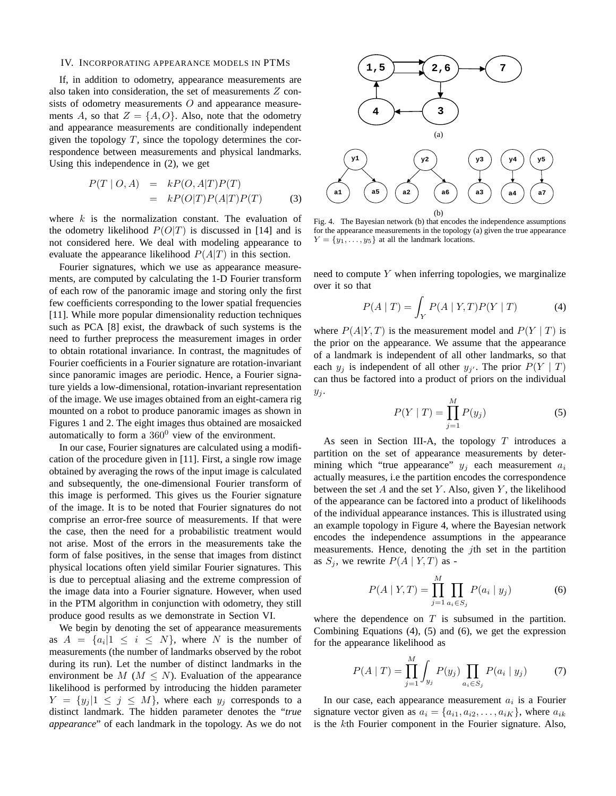#### IV. INCORPORATING APPEARANCE MODELS IN PTMS

If, in addition to odometry, appearance measurements are also taken into consideration, the set of measurements  $Z$  consists of odometry measurements  $O$  and appearance measurements A, so that  $Z = \{A, O\}$ . Also, note that the odometry and appearance measurements are conditionally independent given the topology  $T$ , since the topology determines the correspondence between measurements and physical landmarks. Using this independence in (2), we get

$$
P(T | O, A) = kP(O, A|T)P(T)
$$
  
= 
$$
kP(O|T)P(A|T)P(T)
$$
 (3)

where  $k$  is the normalization constant. The evaluation of the odometry likelihood  $P(O|T)$  is discussed in [14] and is not considered here. We deal with modeling appearance to evaluate the appearance likelihood  $P(A|T)$  in this section.

Fourier signatures, which we use as appearance measurements, are computed by calculating the 1-D Fourier transform of each row of the panoramic image and storing only the first few coefficients corresponding to the lower spatial frequencies [11]. While more popular dimensionality reduction techniques such as PCA [8] exist, the drawback of such systems is the need to further preprocess the measurement images in order to obtain rotational invariance. In contrast, the magnitudes of Fourier coefficients in a Fourier signature are rotation-invariant since panoramic images are periodic. Hence, a Fourier signature yields a low-dimensional, rotation-invariant representation of the image. We use images obtained from an eight-camera rig mounted on a robot to produce panoramic images as shown in Figures 1 and 2. The eight images thus obtained are mosaicked automatically to form a  $360^0$  view of the environment.

In our case, Fourier signatures are calculated using a modification of the procedure given in [11]. First, a single row image obtained by averaging the rows of the input image is calculated and subsequently, the one-dimensional Fourier transform of this image is performed. This gives us the Fourier signature of the image. It is to be noted that Fourier signatures do not comprise an error-free source of measurements. If that were the case, then the need for a probabilistic treatment would not arise. Most of the errors in the measurements take the form of false positives, in the sense that images from distinct physical locations often yield similar Fourier signatures. This is due to perceptual aliasing and the extreme compression of the image data into a Fourier signature. However, when used in the PTM algorithm in conjunction with odometry, they still produce good results as we demonstrate in Section VI.

We begin by denoting the set of appearance measurements as  $A = \{a_i | 1 \leq i \leq N\}$ , where N is the number of measurements (the number of landmarks observed by the robot during its run). Let the number of distinct landmarks in the environment be  $M$  ( $M \le N$ ). Evaluation of the appearance likelihood is performed by introducing the hidden parameter  $Y = \{y_j | 1 \leq j \leq M\}$ , where each  $y_j$  corresponds to a distinct landmark. The hidden parameter denotes the "*true appearance*" of each landmark in the topology. As we do not



Fig. 4. The Bayesian network (b) that encodes the independence assumptions for the appearance measurements in the topology (a) given the true appearance  $Y = \{y_1, \ldots, y_5\}$  at all the landmark locations.

need to compute  $Y$  when inferring topologies, we marginalize over it so that

$$
P(A | T) = \int_{Y} P(A | Y, T) P(Y | T)
$$
 (4)

where  $P(A|Y,T)$  is the measurement model and  $P(Y | T)$  is the prior on the appearance. We assume that the appearance of a landmark is independent of all other landmarks, so that each  $y_j$  is independent of all other  $y_{j'}$ . The prior  $P(Y | T)$ can thus be factored into a product of priors on the individual  $y_j$ .

$$
P(Y | T) = \prod_{j=1}^{M} P(y_j)
$$
 (5)

As seen in Section III-A, the topology  $T$  introduces a partition on the set of appearance measurements by determining which "true appearance"  $y_i$  each measurement  $a_i$ actually measures, i.e the partition encodes the correspondence between the set  $A$  and the set  $Y$ . Also, given  $Y$ , the likelihood of the appearance can be factored into a product of likelihoods of the individual appearance instances. This is illustrated using an example topology in Figure 4, where the Bayesian network encodes the independence assumptions in the appearance measurements. Hence, denoting the *j*th set in the partition as  $S_i$ , we rewrite  $P(A | Y, T)$  as -

$$
P(A | Y, T) = \prod_{j=1}^{M} \prod_{a_i \in S_j} P(a_i | y_j)
$$
 (6)

where the dependence on  $T$  is subsumed in the partition. Combining Equations (4), (5) and (6), we get the expression for the appearance likelihood as

$$
P(A | T) = \prod_{j=1}^{M} \int_{y_j} P(y_j) \prod_{a_i \in S_j} P(a_i | y_j)
$$
 (7)

In our case, each appearance measurement  $a_i$  is a Fourier signature vector given as  $a_i = \{a_{i1}, a_{i2}, \dots, a_{iK}\}\,$ , where  $a_{ik}$ is the kth Fourier component in the Fourier signature. Also,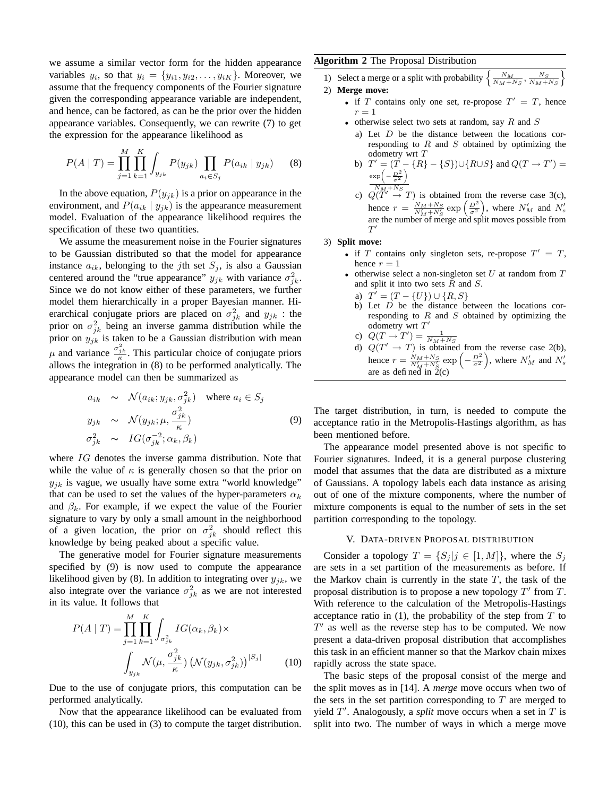we assume a similar vector form for the hidden appearance variables  $y_i$ , so that  $y_i = \{y_{i1}, y_{i2}, \ldots, y_{iK}\}\.$  Moreover, we assume that the frequency components of the Fourier signature given the corresponding appearance variable are independent, and hence, can be factored, as can be the prior over the hidden appearance variables. Consequently, we can rewrite (7) to get the expression for the appearance likelihood as

$$
P(A | T) = \prod_{j=1}^{M} \prod_{k=1}^{K} \int_{y_{jk}} P(y_{jk}) \prod_{a_i \in S_j} P(a_{ik} | y_{jk})
$$
 (8)

In the above equation,  $P(y_{jk})$  is a prior on appearance in the environment, and  $P(a_{ik} | y_{ik})$  is the appearance measurement model. Evaluation of the appearance likelihood requires the specification of these two quantities.

We assume the measurement noise in the Fourier signatures to be Gaussian distributed so that the model for appearance instance  $a_{ik}$ , belonging to the *j*th set  $S_i$ , is also a Gaussian centered around the "true appearance"  $y_{jk}$  with variance  $\sigma_{jk}^2$ . Since we do not know either of these parameters, we further model them hierarchically in a proper Bayesian manner. Hierarchical conjugate priors are placed on  $\sigma_{jk}^2$  and  $y_{jk}$ : the prior on  $\sigma_{jk}^2$  being an inverse gamma distribution while the prior on  $y_{jk}$  is taken to be a Gaussian distribution with mean μ and variance  $\frac{\sigma_{jk}^2}{\kappa}$ . This particular choice of conjugate priors allows the integration in (8) to be performed analytically. The appearance model can then be summarized as

$$
a_{ik} \sim \mathcal{N}(a_{ik}; y_{jk}, \sigma_{jk}^2) \text{ where } a_i \in S_j
$$
  
\n
$$
y_{jk} \sim \mathcal{N}(y_{jk}; \mu, \frac{\sigma_{jk}^2}{\kappa})
$$
  
\n
$$
\sigma_{jk}^2 \sim IG(\sigma_{jk}^{-2}; \alpha_k, \beta_k)
$$
  
\n(9)

where IG denotes the inverse gamma distribution. Note that while the value of  $\kappa$  is generally chosen so that the prior on  $y_{ik}$  is vague, we usually have some extra "world knowledge" that can be used to set the values of the hyper-parameters  $\alpha_k$ and  $\beta_k$ . For example, if we expect the value of the Fourier signature to vary by only a small amount in the neighborhood of a given location, the prior on  $\sigma_{jk}^2$  should reflect this knowledge by being peaked about a specific value.

The generative model for Fourier signature measurements specified by (9) is now used to compute the appearance likelihood given by (8). In addition to integrating over  $y_{jk}$ , we also integrate over the variance  $\sigma_{jk}^2$  as we are not interested in its value. It follows that

$$
P(A \mid T) = \prod_{j=1}^{M} \prod_{k=1}^{K} \int_{\sigma_{jk}^2} IG(\alpha_k, \beta_k) \times
$$

$$
\int_{y_{jk}} \mathcal{N}(\mu, \frac{\sigma_{jk}^2}{\kappa}) \left(\mathcal{N}(y_{jk}, \sigma_{jk}^2)\right)^{|S_j|} \tag{10}
$$

Due to the use of conjugate priors, this computation can be performed analytically.

Now that the appearance likelihood can be evaluated from (10), this can be used in (3) to compute the target distribution.

## **Algorithm 2** The Proposal Distribution

1) Select a merge or a split with probability  $\left\{\frac{N_M}{N_M+N_S}, \frac{N_S}{N_M+N_S}\right\}$ o

- 2) **Merge move:**
	- if T contains only one set, re-propose  $T' = T$ , hence  $r=1$
	- otherwise select two sets at random, say  $R$  and  $S$ 
		- a) Let  $D$  be the distance between the locations corresponding to  $R$  and  $S$  obtained by optimizing the odometry wrt T

b) 
$$
T' = (T - \{R\} - \{S\}) \cup \{R \cup S\} \text{ and } Q(T \to T') = \frac{\exp\left(-\frac{D^2}{\sigma^2}\right)}{2\sigma^2}
$$

c)  $Q(T' \rightarrow T)$  is obtained from the reverse case 3(c), hence  $r = \frac{N_M + N_S}{N_M + N_S'} \exp\left(\frac{D^2}{\sigma^2}\right)$ , where  $N_M'$  and  $N_S'$ are the number of merge and split moves possible from  $T^{\prime}$ 

## 3) **Split move:**

- if T contains only singleton sets, re-propose  $T' = T$ , hence  $r = 1$
- otherwise select a non-singleton set  $U$  at random from  $T$ and split it into two sets  $R$  and  $S$ .
- a)  $T' = (T \{U\}) \cup \{R, S\}$
- b) Let  $D$  be the distance between the locations corresponding to  $R$  and  $S$  obtained by optimizing the odometry wrt  $T'$
- 
- c)  $Q(T \rightarrow T') = \frac{1}{N_M + N_S}$ <br>d)  $Q(T' \rightarrow T)$  is obtained from the reverse case 2(b), hence  $r = \frac{N_M + N_S}{N_M' + N_S'}$  exp  $\left(-\frac{D^2}{\sigma^2}\right)$ , where  $N_M'$  and  $N_S'$ are as defined in  $\tilde{2}(c)$

The target distribution, in turn, is needed to compute the acceptance ratio in the Metropolis-Hastings algorithm, as has been mentioned before.

The appearance model presented above is not specific to Fourier signatures. Indeed, it is a general purpose clustering model that assumes that the data are distributed as a mixture of Gaussians. A topology labels each data instance as arising out of one of the mixture components, where the number of mixture components is equal to the number of sets in the set partition corresponding to the topology.

## V. DATA-DRIVEN PROPOSAL DISTRIBUTION

Consider a topology  $T = \{S_i | j \in [1, M]\}$ , where the  $S_i$ are sets in a set partition of the measurements as before. If the Markov chain is currently in the state  $T$ , the task of the proposal distribution is to propose a new topology  $T'$  from  $T$ . With reference to the calculation of the Metropolis-Hastings acceptance ratio in  $(1)$ , the probability of the step from  $T$  to  $T'$  as well as the reverse step has to be computed. We now present a data-driven proposal distribution that accomplishes this task in an efficient manner so that the Markov chain mixes rapidly across the state space.

The basic steps of the proposal consist of the merge and the split moves as in [14]. A *merge* move occurs when two of the sets in the set partition corresponding to  $T$  are merged to yield  $T'$ . Analogously, a *split* move occurs when a set in  $T$  is split into two. The number of ways in which a merge move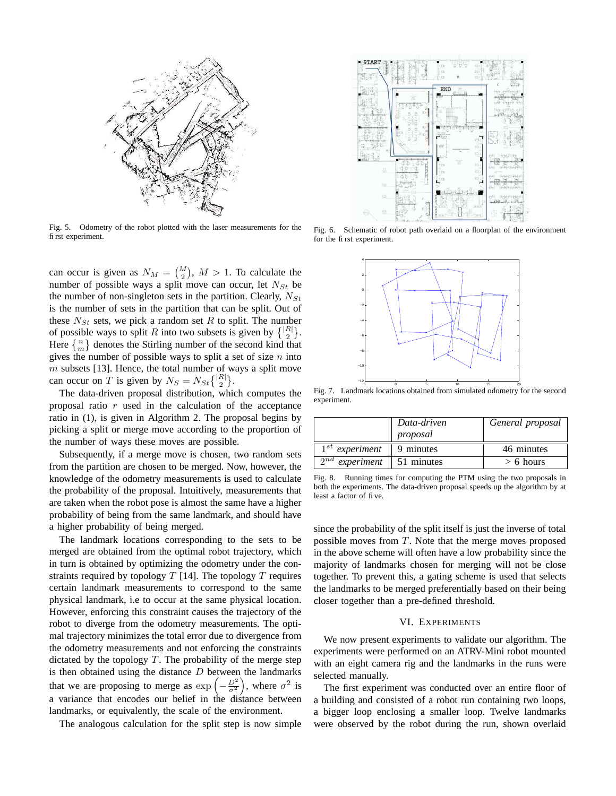

Fig. 5. Odometry of the robot plotted with the laser measurements for the first experiment.

can occur is given as  $N_M = \binom{M}{2}$ ,  $M > 1$ . To calculate the number of possible ways a split move can occur, let  $N_{St}$  be the number of non-singleton sets in the partition. Clearly,  $N_{St}$ is the number of sets in the partition that can be split. Out of these  $N_{St}$  sets, we pick a random set R to split. The number of possible ways to split R into two subsets is given by  $\{ |R| \atop 2 \}$ . Here  $\{m\}$  denotes the Stirling number of the second kind that gives the number of possible ways to split a set of size  $n$  into  $m$  subsets [13]. Hence, the total number of ways a split move can occur on T is given by  $N_S = N_{St} \binom{|R|}{2}$ .

The data-driven proposal distribution, which computes the proposal ratio  $r$  used in the calculation of the acceptance ratio in (1), is given in Algorithm 2. The proposal begins by picking a split or merge move according to the proportion of the number of ways these moves are possible.

Subsequently, if a merge move is chosen, two random sets from the partition are chosen to be merged. Now, however, the knowledge of the odometry measurements is used to calculate the probability of the proposal. Intuitively, measurements that are taken when the robot pose is almost the same have a higher probability of being from the same landmark, and should have a higher probability of being merged.

The landmark locations corresponding to the sets to be merged are obtained from the optimal robot trajectory, which in turn is obtained by optimizing the odometry under the constraints required by topology  $T$  [14]. The topology  $T$  requires certain landmark measurements to correspond to the same physical landmark, i.e to occur at the same physical location. However, enforcing this constraint causes the trajectory of the robot to diverge from the odometry measurements. The optimal trajectory minimizes the total error due to divergence from the odometry measurements and not enforcing the constraints dictated by the topology  $T$ . The probability of the merge step is then obtained using the distance  $D$  between the landmarks that we are proposing to merge as  $\exp\left(-\frac{D^2}{\sigma^2}\right)$ , where  $\sigma^2$  is a variance that encodes our belief in the distance between landmarks, or equivalently, the scale of the environment.

The analogous calculation for the split step is now simple



Fig. 6. Schematic of robot path overlaid on a floorplan of the environment for the first experiment.



Fig. 7. Landmark locations obtained from simulated odometry for the second experiment.

|                        | Data-driven<br>proposal | General proposal |
|------------------------|-------------------------|------------------|
| $1^{st}$ experiment    | $\vert$ 9 minutes       | 46 minutes       |
| $2^{nd}$<br>experiment | 51 minutes              | $> 6$ hours      |

Fig. 8. Running times for computing the PTM using the two proposals in both the experiments. The data-driven proposal speeds up the algorithm by at least a factor of five.

since the probability of the split itself is just the inverse of total possible moves from T. Note that the merge moves proposed in the above scheme will often have a low probability since the majority of landmarks chosen for merging will not be close together. To prevent this, a gating scheme is used that selects the landmarks to be merged preferentially based on their being closer together than a pre-defined threshold.

#### VI. EXPERIMENTS

We now present experiments to validate our algorithm. The experiments were performed on an ATRV-Mini robot mounted with an eight camera rig and the landmarks in the runs were selected manually.

The first experiment was conducted over an entire floor of a building and consisted of a robot run containing two loops, a bigger loop enclosing a smaller loop. Twelve landmarks were observed by the robot during the run, shown overlaid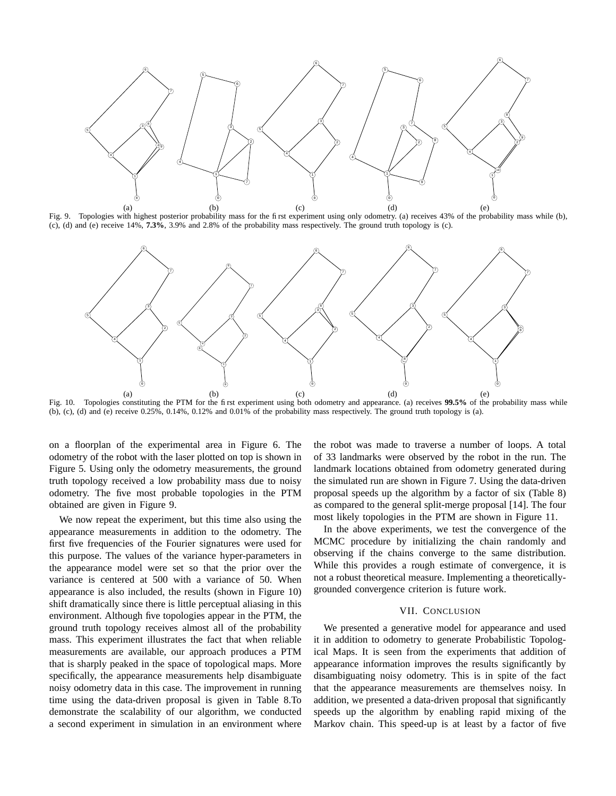

Fig. 9. Topologies with highest posterior probability mass for the first experiment using only odometry. (a) receives 43% of the probability mass while (b), (c), (d) and (e) receive 14%, **7.3%**, 3.9% and 2.8% of the probability mass respectively. The ground truth topology is (c).



Fig. 10. Topologies constituting the PTM for the first experiment using both odometry and appearance. (a) receives **99.5%** of the probability mass while (b), (c), (d) and (e) receive  $0.25\%$ ,  $0.14\%$ ,  $0.12\%$  and  $0.01\%$  of the probability mass respectively. The ground truth topology is (a).

on a floorplan of the experimental area in Figure 6. The odometry of the robot with the laser plotted on top is shown in Figure 5. Using only the odometry measurements, the ground truth topology received a low probability mass due to noisy odometry. The five most probable topologies in the PTM obtained are given in Figure 9.

We now repeat the experiment, but this time also using the appearance measurements in addition to the odometry. The first five frequencies of the Fourier signatures were used for this purpose. The values of the variance hyper-parameters in the appearance model were set so that the prior over the variance is centered at 500 with a variance of 50. When appearance is also included, the results (shown in Figure 10) shift dramatically since there is little perceptual aliasing in this environment. Although five topologies appear in the PTM, the ground truth topology receives almost all of the probability mass. This experiment illustrates the fact that when reliable measurements are available, our approach produces a PTM that is sharply peaked in the space of topological maps. More specifically, the appearance measurements help disambiguate noisy odometry data in this case. The improvement in running time using the data-driven proposal is given in Table 8.To demonstrate the scalability of our algorithm, we conducted a second experiment in simulation in an environment where the robot was made to traverse a number of loops. A total of 33 landmarks were observed by the robot in the run. The landmark locations obtained from odometry generated during the simulated run are shown in Figure 7. Using the data-driven proposal speeds up the algorithm by a factor of six (Table 8) as compared to the general split-merge proposal [14]. The four most likely topologies in the PTM are shown in Figure 11.

In the above experiments, we test the convergence of the MCMC procedure by initializing the chain randomly and observing if the chains converge to the same distribution. While this provides a rough estimate of convergence, it is not a robust theoretical measure. Implementing a theoreticallygrounded convergence criterion is future work.

## VII. CONCLUSION

We presented a generative model for appearance and used it in addition to odometry to generate Probabilistic Topological Maps. It is seen from the experiments that addition of appearance information improves the results significantly by disambiguating noisy odometry. This is in spite of the fact that the appearance measurements are themselves noisy. In addition, we presented a data-driven proposal that significantly speeds up the algorithm by enabling rapid mixing of the Markov chain. This speed-up is at least by a factor of five